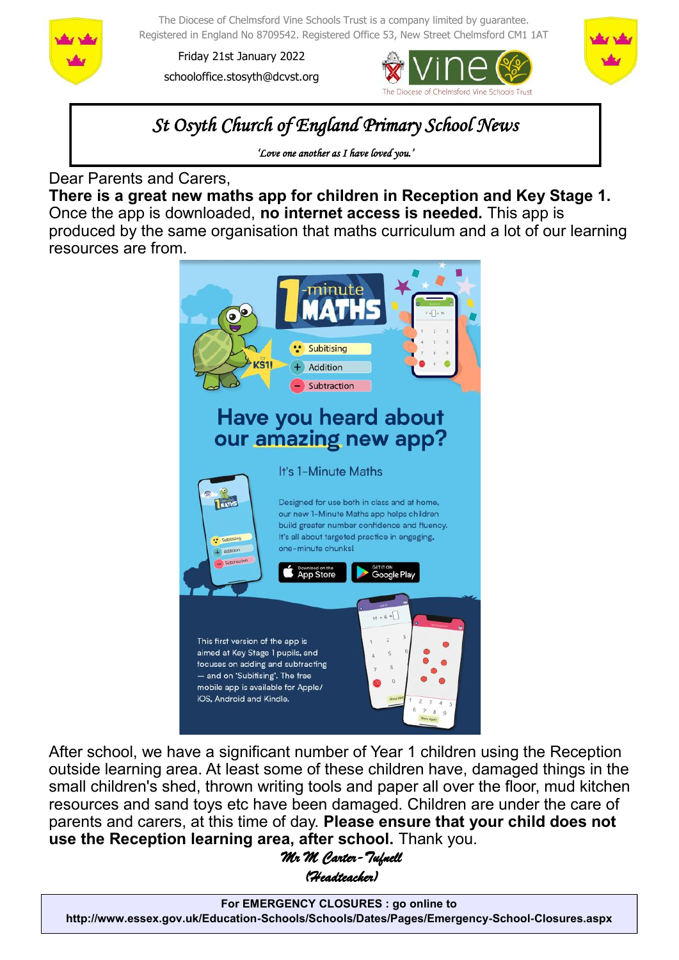

The Diocese of Chelmsford Vine Schools Trust is a company limited by guarantee. Registered in England No 8709542. Registered Office 53, New Street Chelmsford CM1 1AT

Friday 21st January 2022 schooloffice.stosyth@dcvst.org





*St Osyth Church of England Primary School News* 

*'Love one another as I have loved you.'* 

Dear Parents and Carers,

**There is a great new maths app for children in Reception and Key Stage 1.**  Once the app is downloaded, **no internet access is needed.** This app is produced by the same organisation that maths curriculum and a lot of our learning resources are from.



After school, we have a significant number of Year 1 children using the Reception outside learning area. At least some of these children have, damaged things in the small children's shed, thrown writing tools and paper all over the floor, mud kitchen resources and sand toys etc have been damaged. Children are under the care of parents and carers, at this time of day. **Please ensure that your child does not use the Reception learning area, after school.** Thank you.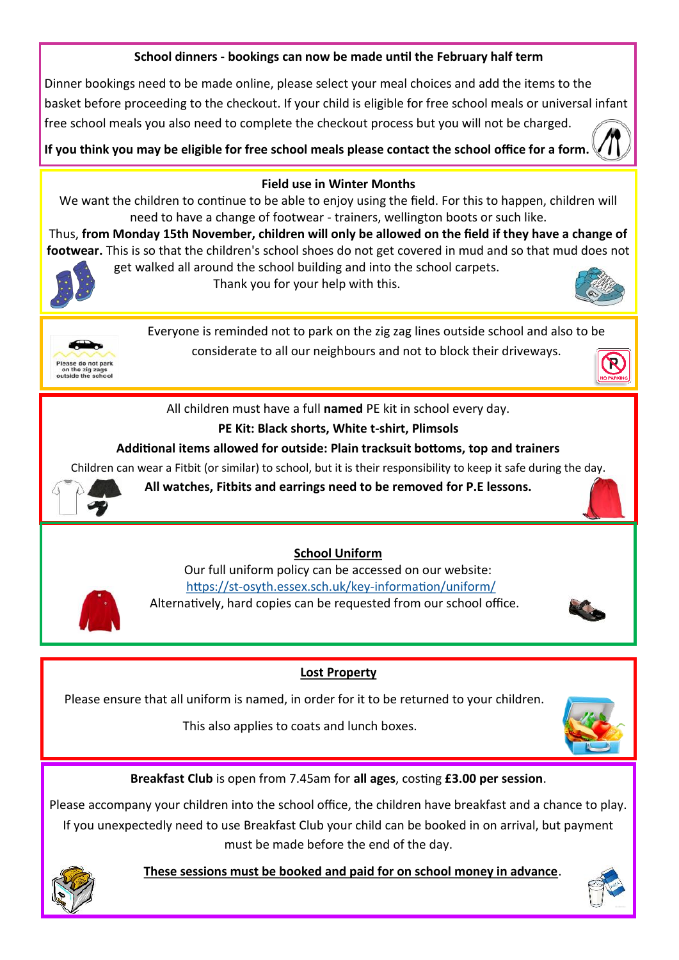## **School dinners - bookings can now be made until the February half term**

Dinner bookings need to be made online, please select your meal choices and add the items to the basket before proceeding to the checkout. If your child is eligible for free school meals or universal infant free school meals you also need to complete the checkout process but you will not be charged.

**If you think you may be eligible for free school meals please contact the school office for a form.** 



### **Field use in Winter Months**

We want the children to continue to be able to enjoy using the field. For this to happen, children will need to have a change of footwear - trainers, wellington boots or such like.

Thus, **from Monday 15th November, children will only be allowed on the field if they have a change of footwear.** This is so that the children's school shoes do not get covered in mud and so that mud does not get walked all around the school building and into the school carpets.



Thank you for your help with this.





Everyone is reminded not to park on the zig zag lines outside school and also to be considerate to all our neighbours and not to block their driveways.



All children must have a full **named** PE kit in school every day.

# **PE Kit: Black shorts, White t-shirt, Plimsols**

### **Additional items allowed for outside: Plain tracksuit bottoms, top and trainers**

Children can wear a Fitbit (or similar) to school, but it is their responsibility to keep it safe during the day.



**All watches, Fitbits and earrings need to be removed for P.E lessons.**

# **School Uniform**

Our full uniform policy can be accessed on our website: https://st-[osyth.essex.sch.uk/key](https://st-osyth.essex.sch.uk/key-information/uniform/)-information/uniform/ Alternatively, hard copies can be requested from our school office.



Please ensure that all uniform is named, in order for it to be returned to your children.

This also applies to coats and lunch boxes.



**Breakfast Club** is open from 7.45am for **all ages**, costing **£3.00 per session**.

Please accompany your children into the school office, the children have breakfast and a chance to play. If you unexpectedly need to use Breakfast Club your child can be booked in on arrival, but payment must be made before the end of the day.



 **These sessions must be booked and paid for on school money in advance**.